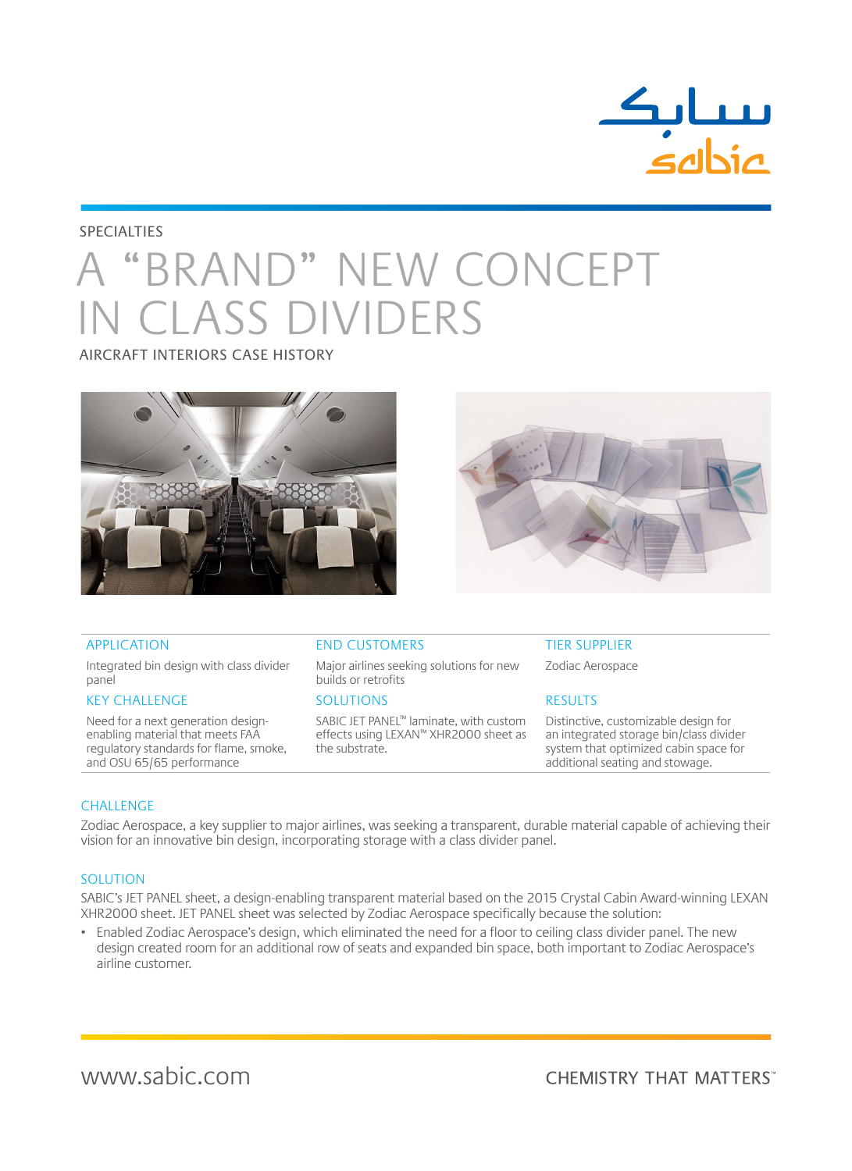

### **SPECIALTIES**

# A "BRAND" NEW CONCEPT **V CLASS DIVIDERS**

AIRCRAFT INTERIORS CASE HISTORY





Integrated bin design with class divider panel

### KEY CHALLENGE SOLUTIONS RESULTS

Need for a next generation designenabling material that meets FAA regulatory standards for flame, smoke, and OSU 65/65 performance

### APPLICATION END CUSTOMERS TIER SUPPLIER

Major airlines seeking solutions for new builds or retrofits

SABIC JET PANEL™ laminate, with custom effects using LEXAN™ XHR2000 sheet as the substrate.

Zodiac Aerospace

Distinctive, customizable design for an integrated storage bin/class divider system that optimized cabin space for additional seating and stowage.

### **CHALLENGE**

Zodiac Aerospace, a key supplier to major airlines, was seeking a transparent, durable material capable of achieving their vision for an innovative bin design, incorporating storage with a class divider panel.

### SOLUTION

SABIC's JET PANEL sheet, a design-enabling transparent material based on the 2015 Crystal Cabin Award-winning LEXAN XHR2000 sheet. JET PANEL sheet was selected by Zodiac Aerospace specifically because the solution:

• Enabled Zodiac Aerospace's design, which eliminated the need for a floor to ceiling class divider panel. The new design created room for an additional row of seats and expanded bin space, both important to Zodiac Aerospace's airline customer.

www.sabic.com